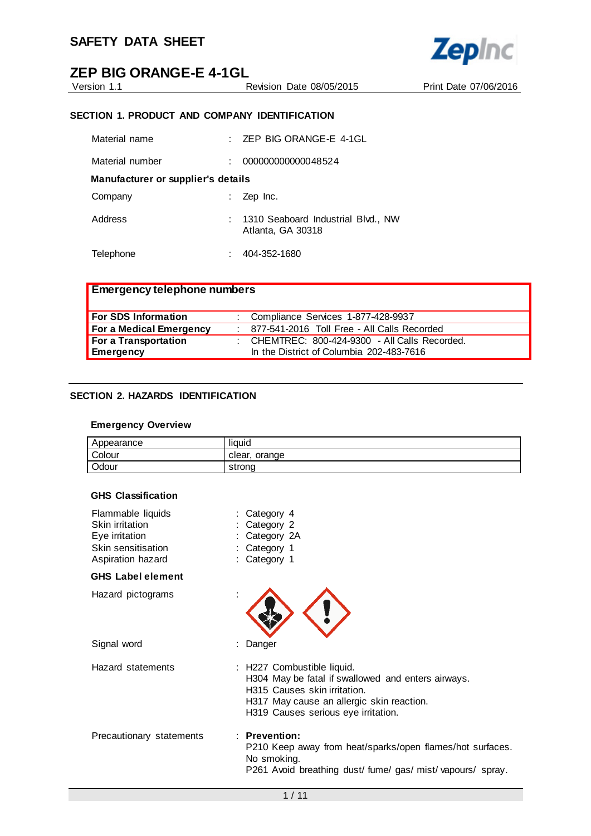

Version 1.1 Revision Date 08/05/2015 Print Date 07/06/2016

**Zepinc** 

#### **SECTION 1. PRODUCT AND COMPANY IDENTIFICATION**

| Material name                      | ۰. | ZEP BIG ORANGE-E 4-1GL                                  |  |  |
|------------------------------------|----|---------------------------------------------------------|--|--|
| Material number                    | ۰  | 000000000000048524                                      |  |  |
| Manufacturer or supplier's details |    |                                                         |  |  |
| Company                            |    | Zep Inc.                                                |  |  |
| Address                            |    | 1310 Seaboard Industrial Blvd., NW<br>Atlanta, GA 30318 |  |  |
| Telephone                          |    | 404-352-1680                                            |  |  |

| <b>Emergency telephone numbers</b> |                                               |
|------------------------------------|-----------------------------------------------|
| <b>For SDS Information</b>         | Compliance Services 1-877-428-9937            |
| For a Medical Emergency            | : 877-541-2016 Toll Free - All Calls Recorded |
| For a Transportation               | CHEMTREC: 800-424-9300 - All Calls Recorded.  |
| Emergency                          | In the District of Columbia 202-483-7616      |

#### **SECTION 2. HAZARDS IDENTIFICATION**

#### **Emergency Overview**

| Appearance | liauid           |
|------------|------------------|
| Colour     | orange<br>clear. |
| Odour      | strona           |

#### **GHS Classification**

| Flammable liquids<br>Skin irritation<br>Eye irritation<br>Skin sensitisation<br>Aspiration hazard | Category 4<br>Category 2<br>Category 2A<br>Category 1<br>: Category 1                                                                                                                                |
|---------------------------------------------------------------------------------------------------|------------------------------------------------------------------------------------------------------------------------------------------------------------------------------------------------------|
| <b>GHS Label element</b>                                                                          |                                                                                                                                                                                                      |
| Hazard pictograms                                                                                 |                                                                                                                                                                                                      |
| Signal word                                                                                       | Danger                                                                                                                                                                                               |
| Hazard statements                                                                                 | : H227 Combustible liquid.<br>H304 May be fatal if swallowed and enters airways.<br>H315 Causes skin irritation.<br>H317 May cause an allergic skin reaction.<br>H319 Causes serious eye irritation. |
| Precautionary statements                                                                          | $:$ Prevention:<br>P210 Keep away from heat/sparks/open flames/hot surfaces.<br>No smoking.<br>P261 Avoid breathing dust/fume/gas/mist/vapours/spray.                                                |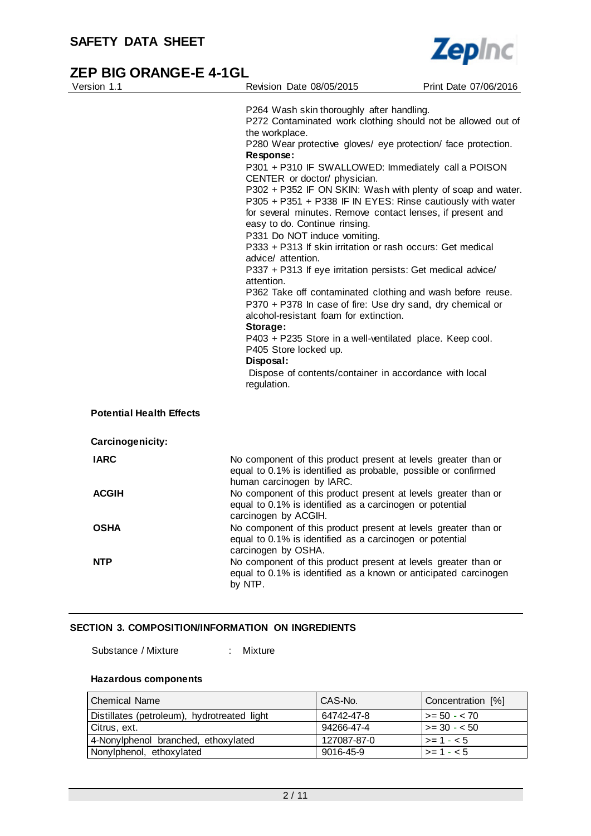

| Version 1.1                                         | Revision Date 08/05/2015                                                                                                                                                                                                                                                                                                                                                                                                                                                                                                                                                                                                                                                                                                                                                                                                                                                                                                                                                                                                                                                                   | Print Date 07/06/2016 |
|-----------------------------------------------------|--------------------------------------------------------------------------------------------------------------------------------------------------------------------------------------------------------------------------------------------------------------------------------------------------------------------------------------------------------------------------------------------------------------------------------------------------------------------------------------------------------------------------------------------------------------------------------------------------------------------------------------------------------------------------------------------------------------------------------------------------------------------------------------------------------------------------------------------------------------------------------------------------------------------------------------------------------------------------------------------------------------------------------------------------------------------------------------------|-----------------------|
|                                                     | P264 Wash skin thoroughly after handling.<br>P272 Contaminated work clothing should not be allowed out of<br>the workplace.<br>P280 Wear protective gloves/ eye protection/ face protection.<br>Response:<br>P301 + P310 IF SWALLOWED: Immediately call a POISON<br>CENTER or doctor/ physician.<br>P302 + P352 IF ON SKIN: Wash with plenty of soap and water.<br>P305 + P351 + P338 IF IN EYES: Rinse cautiously with water<br>for several minutes. Remove contact lenses, if present and<br>easy to do. Continue rinsing.<br>P331 Do NOT induce vomiting.<br>P333 + P313 If skin irritation or rash occurs: Get medical<br>advice/ attention.<br>P337 + P313 If eye irritation persists: Get medical advice/<br>attention.<br>P362 Take off contaminated clothing and wash before reuse.<br>P370 + P378 In case of fire: Use dry sand, dry chemical or<br>alcohol-resistant foam for extinction.<br>Storage:<br>P403 + P235 Store in a well-ventilated place. Keep cool.<br>P405 Store locked up.<br>Disposal:<br>Dispose of contents/container in accordance with local<br>regulation. |                       |
| <b>Potential Health Effects</b><br>Carcinogenicity: |                                                                                                                                                                                                                                                                                                                                                                                                                                                                                                                                                                                                                                                                                                                                                                                                                                                                                                                                                                                                                                                                                            |                       |
| <b>IARC</b>                                         | No component of this product present at levels greater than or<br>equal to 0.1% is identified as probable, possible or confirmed<br>human carcinogen by IARC.                                                                                                                                                                                                                                                                                                                                                                                                                                                                                                                                                                                                                                                                                                                                                                                                                                                                                                                              |                       |
| <b>ACGIH</b>                                        | No component of this product present at levels greater than or<br>equal to 0.1% is identified as a carcinogen or potential<br>carcinogen by ACGIH.                                                                                                                                                                                                                                                                                                                                                                                                                                                                                                                                                                                                                                                                                                                                                                                                                                                                                                                                         |                       |
| <b>OSHA</b>                                         | No component of this product present at levels greater than or<br>equal to 0.1% is identified as a carcinogen or potential<br>carcinogen by OSHA.                                                                                                                                                                                                                                                                                                                                                                                                                                                                                                                                                                                                                                                                                                                                                                                                                                                                                                                                          |                       |
| <b>NTP</b>                                          | No component of this product present at levels greater than or<br>equal to 0.1% is identified as a known or anticipated carcinogen<br>by NTP.                                                                                                                                                                                                                                                                                                                                                                                                                                                                                                                                                                                                                                                                                                                                                                                                                                                                                                                                              |                       |

#### **SECTION 3. COMPOSITION/INFORMATION ON INGREDIENTS**

Substance / Mixture : Mixture

#### **Hazardous components**

| l Chemical Name                             | CAS-No.     | Concentration [%]    |
|---------------------------------------------|-------------|----------------------|
| Distillates (petroleum), hydrotreated light | 64742-47-8  | $\vert$ >= 50 - < 70 |
| Citrus, ext.                                | 94266-47-4  | $\vert$ >= 30 - < 50 |
| 4-Nonylphenol branched, ethoxylated         | 127087-87-0 | $ >= 1 - < 5$        |
| Nonylphenol, ethoxylated                    | 9016-45-9   | $ >= 1 - < 5$        |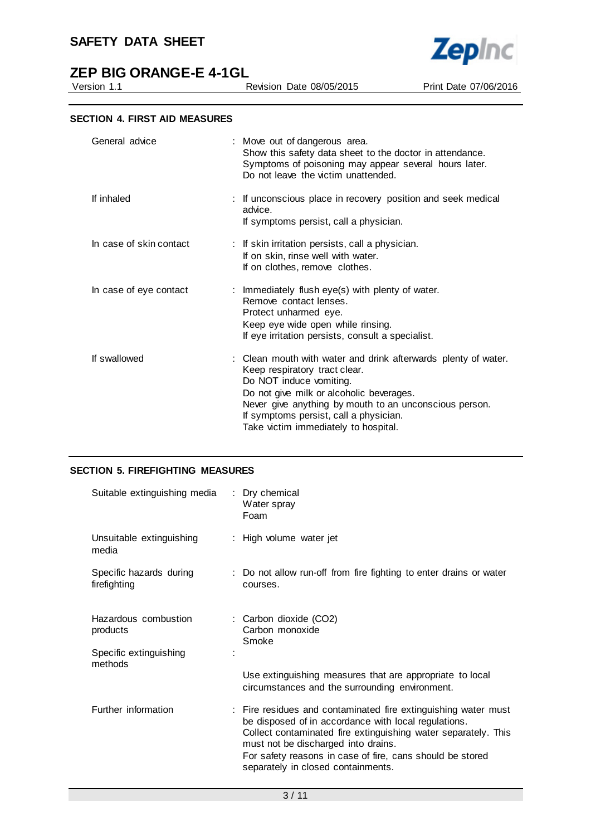# **ZEP BIG ORANGE-E 4-1GL**<br>Version 1.1

**Zepinc** 

Revision Date 08/05/2015 Print Date 07/06/2016

| General advice          | : Move out of dangerous area.<br>Show this safety data sheet to the doctor in attendance.<br>Symptoms of poisoning may appear several hours later.<br>Do not leave the victim unattended.                                                                                                                          |
|-------------------------|--------------------------------------------------------------------------------------------------------------------------------------------------------------------------------------------------------------------------------------------------------------------------------------------------------------------|
| If inhaled              | : If unconscious place in recovery position and seek medical<br>advice.<br>If symptoms persist, call a physician.                                                                                                                                                                                                  |
| In case of skin contact | : If skin irritation persists, call a physician.<br>If on skin, rinse well with water.<br>If on clothes, remove clothes.                                                                                                                                                                                           |
| In case of eye contact  | : Immediately flush eye(s) with plenty of water.<br>Remove contact lenses.<br>Protect unharmed eye.<br>Keep eye wide open while rinsing.<br>If eye irritation persists, consult a specialist.                                                                                                                      |
| If swallowed            | : Clean mouth with water and drink afterwards plenty of water.<br>Keep respiratory tract clear.<br>Do NOT induce vomiting.<br>Do not give milk or alcoholic beverages.<br>Never give anything by mouth to an unconscious person.<br>If symptoms persist, call a physician.<br>Take victim immediately to hospital. |

#### **SECTION 5. FIREFIGHTING MEASURES**

| Suitable extinguishing media            | : Dry chemical<br>Water spray<br>Foam                                                                                                                                                                                                                                                                                              |
|-----------------------------------------|------------------------------------------------------------------------------------------------------------------------------------------------------------------------------------------------------------------------------------------------------------------------------------------------------------------------------------|
| Unsuitable extinguishing<br>media       | : High volume water jet                                                                                                                                                                                                                                                                                                            |
| Specific hazards during<br>firefighting | : Do not allow run-off from fire fighting to enter drains or water<br>courses.                                                                                                                                                                                                                                                     |
| Hazardous combustion<br>products        | : Carbon dioxide (CO2)<br>Carbon monoxide<br>Smoke                                                                                                                                                                                                                                                                                 |
| Specific extinguishing<br>methods       | Use extinguishing measures that are appropriate to local<br>circumstances and the surrounding environment.                                                                                                                                                                                                                         |
| Further information                     | : Fire residues and contaminated fire extinguishing water must<br>be disposed of in accordance with local regulations.<br>Collect contaminated fire extinguishing water separately. This<br>must not be discharged into drains.<br>For safety reasons in case of fire, cans should be stored<br>separately in closed containments. |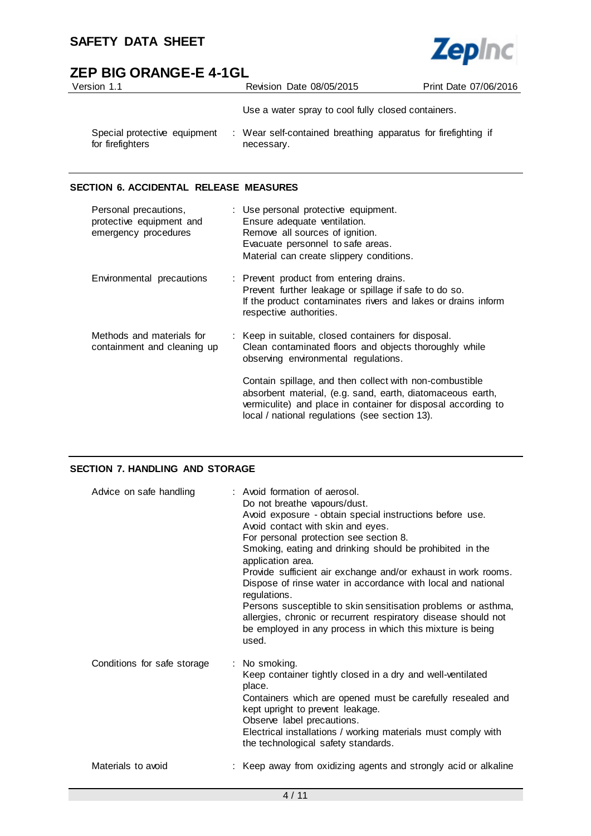

# **ZEP BIG ORANGE-E 4-1GL**

| Version 1.1                                      | Revision Date 08/05/2015                                                    | Print Date 07/06/2016 |
|--------------------------------------------------|-----------------------------------------------------------------------------|-----------------------|
|                                                  | Use a water spray to cool fully closed containers.                          |                       |
| Special protective equipment<br>for firefighters | : Wear self-contained breathing apparatus for firefighting if<br>necessary. |                       |

#### **SECTION 6. ACCIDENTAL RELEASE MEASURES**

| Personal precautions,<br>protective equipment and<br>emergency procedures | : Use personal protective equipment.<br>Ensure adequate ventilation.<br>Remove all sources of ignition.<br>Evacuate personnel to safe areas.<br>Material can create slippery conditions.                                                 |
|---------------------------------------------------------------------------|------------------------------------------------------------------------------------------------------------------------------------------------------------------------------------------------------------------------------------------|
| Environmental precautions                                                 | : Prevent product from entering drains.<br>Prevent further leakage or spillage if safe to do so.<br>If the product contaminates rivers and lakes or drains inform<br>respective authorities.                                             |
| Methods and materials for<br>containment and cleaning up                  | : Keep in suitable, closed containers for disposal.<br>Clean contaminated floors and objects thoroughly while<br>observing environmental regulations.                                                                                    |
|                                                                           | Contain spillage, and then collect with non-combustible<br>absorbent material, (e.g. sand, earth, diatomaceous earth,<br>vermiculite) and place in container for disposal according to<br>local / national regulations (see section 13). |

#### **SECTION 7. HANDLING AND STORAGE**

| Advice on safe handling     | : Avoid formation of aerosol.<br>Do not breathe vapours/dust.<br>Avoid exposure - obtain special instructions before use.<br>Avoid contact with skin and eyes.<br>For personal protection see section 8.<br>Smoking, eating and drinking should be prohibited in the<br>application area.<br>Provide sufficient air exchange and/or exhaust in work rooms.<br>Dispose of rinse water in accordance with local and national<br>regulations.<br>Persons susceptible to skin sensitisation problems or asthma,<br>allergies, chronic or recurrent respiratory disease should not<br>be employed in any process in which this mixture is being<br>used. |
|-----------------------------|-----------------------------------------------------------------------------------------------------------------------------------------------------------------------------------------------------------------------------------------------------------------------------------------------------------------------------------------------------------------------------------------------------------------------------------------------------------------------------------------------------------------------------------------------------------------------------------------------------------------------------------------------------|
| Conditions for safe storage | : No smoking.<br>Keep container tightly closed in a dry and well-ventilated<br>place.<br>Containers which are opened must be carefully resealed and<br>kept upright to prevent leakage.<br>Observe label precautions.<br>Electrical installations / working materials must comply with<br>the technological safety standards.                                                                                                                                                                                                                                                                                                                       |
| Materials to avoid          | : Keep away from oxidizing agents and strongly acid or alkaline                                                                                                                                                                                                                                                                                                                                                                                                                                                                                                                                                                                     |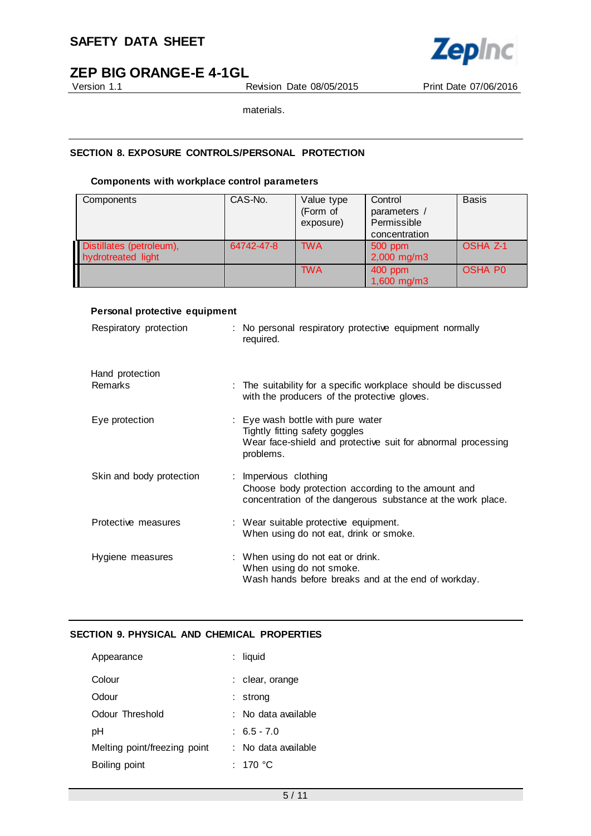

Version 1.1 Revision Date 08/05/2015 Print Date 07/06/2016

materials.

#### **SECTION 8. EXPOSURE CONTROLS/PERSONAL PROTECTION**

#### **Components with workplace control parameters**

| Components                                     | CAS-No.    | Value type<br>(Form of<br>exposure) | Control<br>parameters /<br>Permissible<br>concentration | <b>Basis</b>    |
|------------------------------------------------|------------|-------------------------------------|---------------------------------------------------------|-----------------|
| Distillates (petroleum),<br>hydrotreated light | 64742-47-8 | <b>TWA</b>                          | 500 ppm<br>$2,000$ mg/m3                                | <b>OSHA Z-1</b> |
|                                                |            | <b>TWA</b>                          | 400 ppm<br>1,600 mg/m3                                  | <b>OSHA PO</b>  |

#### **Personal protective equipment**

| Respiratory protection            | : No personal respiratory protective equipment normally<br>required.                                                                                    |
|-----------------------------------|---------------------------------------------------------------------------------------------------------------------------------------------------------|
| Hand protection<br><b>Remarks</b> | : The suitability for a specific workplace should be discussed<br>with the producers of the protective gloves.                                          |
| Eye protection                    | : Eye wash bottle with pure water<br>Tightly fitting safety goggles<br>Wear face-shield and protective suit for abnormal processing                     |
| Skin and body protection          | problems.<br>: Impervious clothing<br>Choose body protection according to the amount and<br>concentration of the dangerous substance at the work place. |
| Protective measures               | : Wear suitable protective equipment.<br>When using do not eat, drink or smoke.                                                                         |
| Hygiene measures                  | : When using do not eat or drink.<br>When using do not smoke.<br>Wash hands before breaks and at the end of workday.                                    |

#### **SECTION 9. PHYSICAL AND CHEMICAL PROPERTIES**

| Appearance                   | : liquid            |
|------------------------------|---------------------|
| Colour                       | : clear, orange     |
| Odour                        | strong              |
| Odour Threshold              | ∶ No data available |
| рH                           | $: 6.5 - 7.0$       |
| Melting point/freezing point | : No data available |
| Boiling point                | : 170 °C            |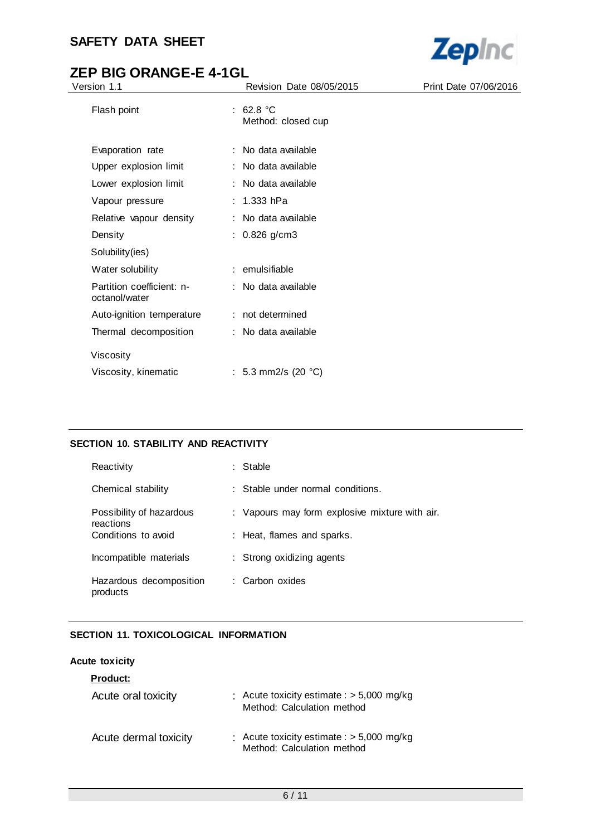

# **ZEP BIG ORANGE-E 4-1GL**

| Version 1.1                                |  | Revision Date 08/05/2015        | Print Date 07/06/2016 |
|--------------------------------------------|--|---------------------------------|-----------------------|
| Flash point                                |  | : 62.8 °C<br>Method: closed cup |                       |
| Evaporation rate                           |  | : No data available             |                       |
| Upper explosion limit                      |  | : No data available             |                       |
| Lower explosion limit                      |  | : No data available             |                       |
| Vapour pressure                            |  | : $1.333$ hPa                   |                       |
| Relative vapour density                    |  | : No data available             |                       |
| Density                                    |  | : $0.826$ g/cm3                 |                       |
| Solubility(ies)                            |  |                                 |                       |
| Water solubility                           |  | : emulsifiable                  |                       |
| Partition coefficient: n-<br>octanol/water |  | : No data available             |                       |
| Auto-ignition temperature                  |  | : not determined                |                       |
| Thermal decomposition                      |  | : No data available             |                       |
| Viscosity                                  |  |                                 |                       |
| Viscosity, kinematic                       |  | : 5.3 mm2/s (20 $^{\circ}$ C)   |                       |

#### **SECTION 10. STABILITY AND REACTIVITY**

| Reactivity                            | : Stable                                       |
|---------------------------------------|------------------------------------------------|
| Chemical stability                    | : Stable under normal conditions.              |
| Possibility of hazardous<br>reactions | : Vapours may form explosive mixture with air. |
| Conditions to avoid                   | : Heat, flames and sparks.                     |
| Incompatible materials                | : Strong oxidizing agents                      |
| Hazardous decomposition<br>products   | : Carbon oxides                                |

#### **SECTION 11. TOXICOLOGICAL INFORMATION**

#### **Acute toxicity**

| <b>Product:</b>       |                                                                           |
|-----------------------|---------------------------------------------------------------------------|
| Acute oral toxicity   | : Acute toxicity estimate : $> 5,000$ mg/kg<br>Method: Calculation method |
| Acute dermal toxicity | : Acute toxicity estimate : $> 5,000$ mg/kg<br>Method: Calculation method |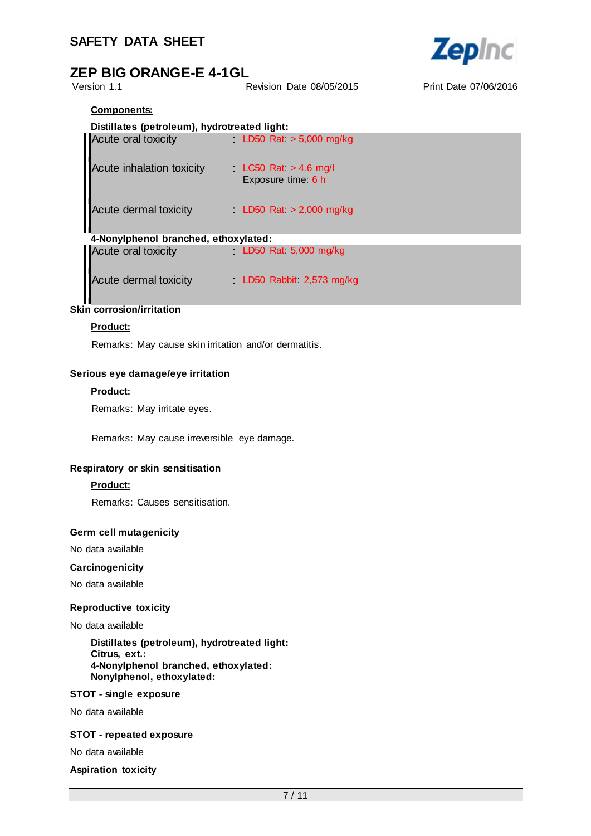

Version 1.1 Revision Date 08/05/2015 Print Date 07/06/2016

#### **Components:**

#### **Distillates (petroleum), hydrotreated light:**

| Acute oral toxicity                  | LD50 Rat $> 5,000$ mg/kg                    |
|--------------------------------------|---------------------------------------------|
| <b>Acute inhalation toxicity</b>     | LC50 Rat $>$ 4.6 mg/l<br>Exposure time: 6 h |
| Acute dermal toxicity                | LD50 Rat $>$ 2,000 mg/kg                    |
| 4-Nonylphenol branched, ethoxylated: |                                             |
| Acute oral toxicity                  | LD50 Rat $5,000$ mg/kg                      |
| Acute dermal toxicity                | LD50 Rabbit 2,573 mg/kg                     |

# **Skin corrosion/irritation**

#### **Product:**

Remarks: May cause skin irritation and/or dermatitis.

#### **Serious eye damage/eye irritation**

#### **Product:**

Remarks: May irritate eyes.

Remarks: May cause irreversible eye damage.

#### **Respiratory or skin sensitisation**

#### **Product:**

Remarks: Causes sensitisation.

#### **Germ cell mutagenicity**

No data available

#### **Carcinogenicity**

No data available

#### **Reproductive toxicity**

#### No data available

**Distillates (petroleum), hydrotreated light: Citrus, ext.: 4-Nonylphenol branched, ethoxylated: Nonylphenol, ethoxylated:**

#### **STOT - single exposure**

No data available

#### **STOT - repeated exposure**

No data available

**Aspiration toxicity**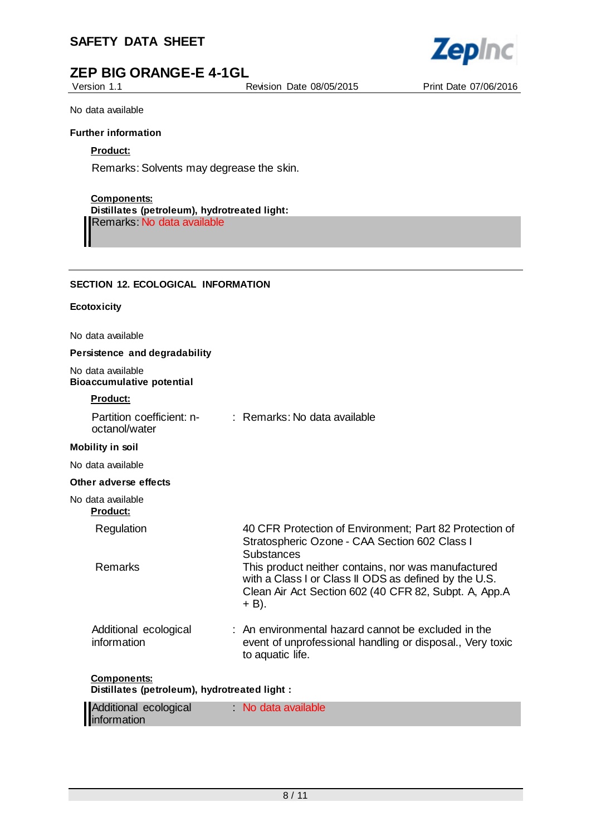# **ZEP BIG ORANGE-E 4-1GL**

Version 1.1 Revision Date 08/05/2015 Print Date 07/06/2016



No data available

#### **Further information**

#### **Product:**

Remarks: Solvents may degrease the skin.

#### **Components:**

**Distillates (petroleum), hydrotreated light:** Remarks: No data available

#### **SECTION 12. ECOLOGICAL INFORMATION**

#### **Ecotoxicity**

No data available

#### **Persistence and degradability**

No data available **Bioaccumulative potential**

#### **Product:**

| Partition coefficient: n-<br>octanol/water                          | : Remarks: No data available                                                                                                                                                   |
|---------------------------------------------------------------------|--------------------------------------------------------------------------------------------------------------------------------------------------------------------------------|
| <b>Mobility in soil</b>                                             |                                                                                                                                                                                |
| No data available                                                   |                                                                                                                                                                                |
| Other adverse effects                                               |                                                                                                                                                                                |
| No data available<br><b>Product:</b>                                |                                                                                                                                                                                |
| Regulation                                                          | 40 CFR Protection of Environment; Part 82 Protection of<br>Stratospheric Ozone - CAA Section 602 Class I<br>Substances                                                         |
| <b>Remarks</b>                                                      | This product neither contains, nor was manufactured<br>with a Class I or Class II ODS as defined by the U.S.<br>Clean Air Act Section 602 (40 CFR 82, Subpt. A, App.A<br>+ B). |
| Additional ecological<br>information                                | : An environmental hazard cannot be excluded in the<br>event of unprofessional handling or disposal., Very toxic<br>to aquatic life.                                           |
| <b>Components:</b><br>Distillates (petroleum), hydrotreated light : |                                                                                                                                                                                |

| Additional ecological | No data available |  |
|-----------------------|-------------------|--|
| information           |                   |  |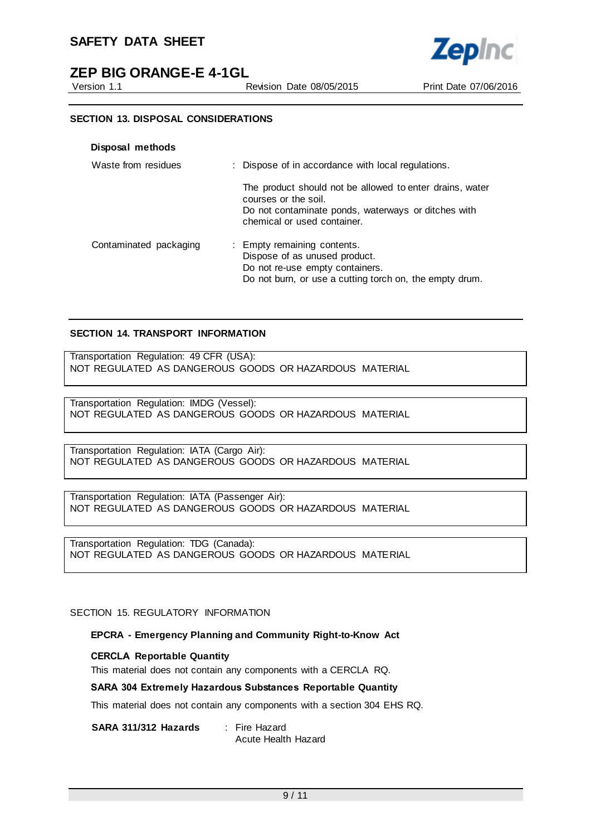# **ZEP BIG ORANGE-E 4-1GL**

Version 1.1 Revision Date 08/05/2015 Print Date 07/06/2016



#### **SECTION 13. DISPOSAL CONSIDERATIONS**

| Waste from residues    | : Dispose of in accordance with local regulations.                                                                                                                     |
|------------------------|------------------------------------------------------------------------------------------------------------------------------------------------------------------------|
|                        | The product should not be allowed to enter drains, water<br>courses or the soil.<br>Do not contaminate ponds, waterways or ditches with<br>chemical or used container. |
| Contaminated packaging | : Empty remaining contents.<br>Dispose of as unused product.<br>Do not re-use empty containers.<br>Do not burn, or use a cutting torch on, the empty drum.             |

#### **SECTION 14. TRANSPORT INFORMATION**

Transportation Regulation: 49 CFR (USA): NOT REGULATED AS DANGEROUS GOODS OR HAZARDOUS MATERIAL

Transportation Regulation: IMDG (Vessel): NOT REGULATED AS DANGEROUS GOODS OR HAZARDOUS MATERIAL

Transportation Regulation: IATA (Cargo Air): NOT REGULATED AS DANGEROUS GOODS OR HAZARDOUS MATERIAL

Transportation Regulation: IATA (Passenger Air): NOT REGULATED AS DANGEROUS GOODS OR HAZARDOUS MATERIAL

Transportation Regulation: TDG (Canada): NOT REGULATED AS DANGEROUS GOODS OR HAZARDOUS MATERIAL

SECTION 15. REGULATORY INFORMATION

#### **EPCRA - Emergency Planning and Community Right-to-Know Act**

#### **CERCLA Reportable Quantity**

This material does not contain any components with a CERCLA RQ.

#### **SARA 304 Extremely Hazardous Substances Reportable Quantity**

This material does not contain any components with a section 304 EHS RQ.

**SARA 311/312 Hazards** : Fire Hazard

Acute Health Hazard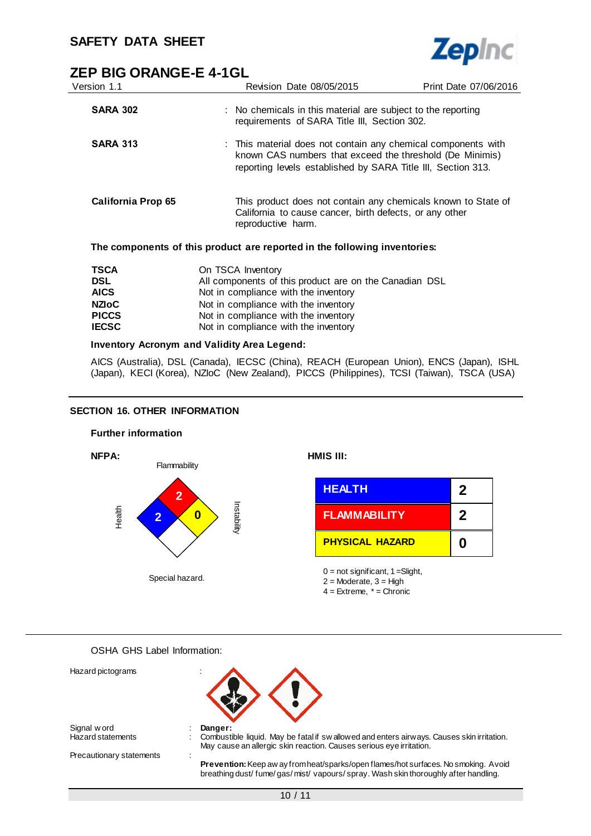

| Version 1.1        | Revision Date 08/05/2015                                                                                                                                                                  | Print Date 07/06/2016 |
|--------------------|-------------------------------------------------------------------------------------------------------------------------------------------------------------------------------------------|-----------------------|
| <b>SARA 302</b>    | : No chemicals in this material are subject to the reporting<br>requirements of SARA Title III, Section 302.                                                                              |                       |
| <b>SARA 313</b>    | : This material does not contain any chemical components with<br>known CAS numbers that exceed the threshold (De Minimis)<br>reporting levels established by SARA Title III, Section 313. |                       |
| California Prop 65 | This product does not contain any chemicals known to State of<br>California to cause cancer, birth defects, or any other<br>reproductive harm.                                            |                       |
|                    | The components of this product are reported in the following inventories:                                                                                                                 |                       |
| <b>TSCA</b><br>ופח | On TSCA Inventory<br>All components of this product are on the Canadian DSI                                                                                                               |                       |

| 15CA         | On 15CA Inventory                                      |
|--------------|--------------------------------------------------------|
| <b>DSL</b>   | All components of this product are on the Canadian DSL |
| <b>AICS</b>  | Not in compliance with the inventory                   |
| <b>NZIoC</b> | Not in compliance with the inventory                   |
| <b>PICCS</b> | Not in compliance with the inventory                   |
| <b>IECSC</b> | Not in compliance with the inventory                   |
|              |                                                        |

#### **Inventory Acronym and Validity Area Legend:**

AICS (Australia), DSL (Canada), IECSC (China), REACH (European Union), ENCS (Japan), ISHL (Japan), KECI (Korea), NZIoC (New Zealand), PICCS (Philippines), TCSI (Taiwan), TSCA (USA)

#### **SECTION 16. OTHER INFORMATION**



OSHA GHS Label Information:

| Hazard pictograms        |                                                                                                                                                                         |
|--------------------------|-------------------------------------------------------------------------------------------------------------------------------------------------------------------------|
| Signal w ord             | Danger:                                                                                                                                                                 |
| Hazard statements        | Combustible liquid. May be fatal if sw allowed and enters airways. Causes skin irritation.<br>May cause an allergic skin reaction. Causes serious eye irritation.       |
| Precautionary statements |                                                                                                                                                                         |
|                          | Prevention: Keep aw ay from heat/sparks/open flames/hot surfaces. No smoking. Avoid<br>breathing dust/fume/gas/mist/vapours/spray. Wash skin thoroughly after handling. |